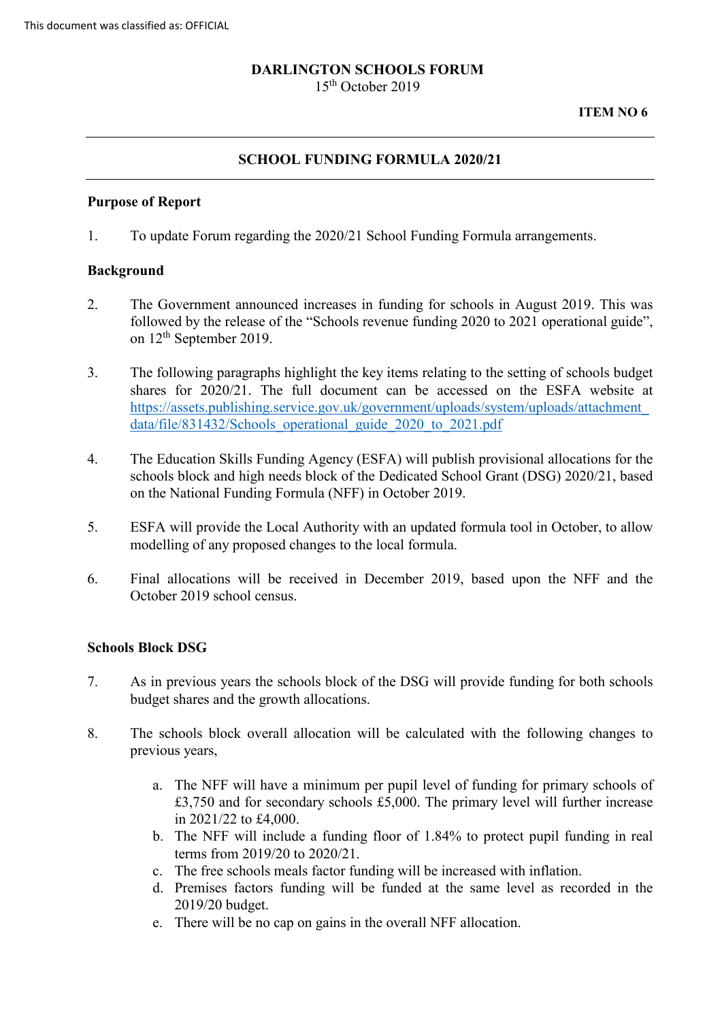# **DARLINGTON SCHOOLS FORUM**

15th October 2019

**ITEM NO 6** 

## **SCHOOL FUNDING FORMULA 2020/21**

#### **Purpose of Report**

1. To update Forum regarding the 2020/21 School Funding Formula arrangements.

### **Background**

- on 12<sup>th</sup> September 2019. 2. The Government announced increases in funding for schools in August 2019. This was followed by the release of the "Schools revenue funding 2020 to 2021 operational guide",
- data/file/831432/Schools operational guide 2020 to 2021.pdf 3. The following paragraphs highlight the key items relating to the setting of schools budget shares for 2020/21. The full document can be accessed on the ESFA website at [https://assets.publishing.service.gov.uk/government/uploads/system/uploads/attachment\\_](https://assets.publishing.service.gov.uk/government/uploads/system/uploads/attachment_data/file/831432/Schools_operational_guide_2020_to_2021.pdf)
- data/file/831432/Schools\_operational\_guide\_2020\_to\_2021.pdf<br>4. The Education Skills Funding Agency (ESFA) will publish provisional allocations for the schools block and high needs block of the Dedicated School Grant (DSG) 2020/21, based on the National Funding Formula (NFF) in October 2019.
- 5. ESFA will provide the Local Authority with an updated formula tool in October, to allow modelling of any proposed changes to the local formula.
- 6. Final allocations will be received in December 2019, based upon the NFF and the October 2019 school census.

### **Schools Block DSG**

- 7. As in previous years the schools block of the DSG will provide funding for both schools budget shares and the growth allocations.
- 8. The schools block overall allocation will be calculated with the following changes to previous years,
	- £3,750 and for secondary schools £5,000. The primary level will further increase a. The NFF will have a minimum per pupil level of funding for primary schools of in 2021/22 to £4,000.
	- b. The NFF will include a funding floor of 1.84% to protect pupil funding in real terms from 2019/20 to 2020/21.
	- c. The free schools meals factor funding will be increased with inflation.
	- d. Premises factors funding will be funded at the same level as recorded in the 2019/20 budget.
	- e. There will be no cap on gains in the overall NFF allocation.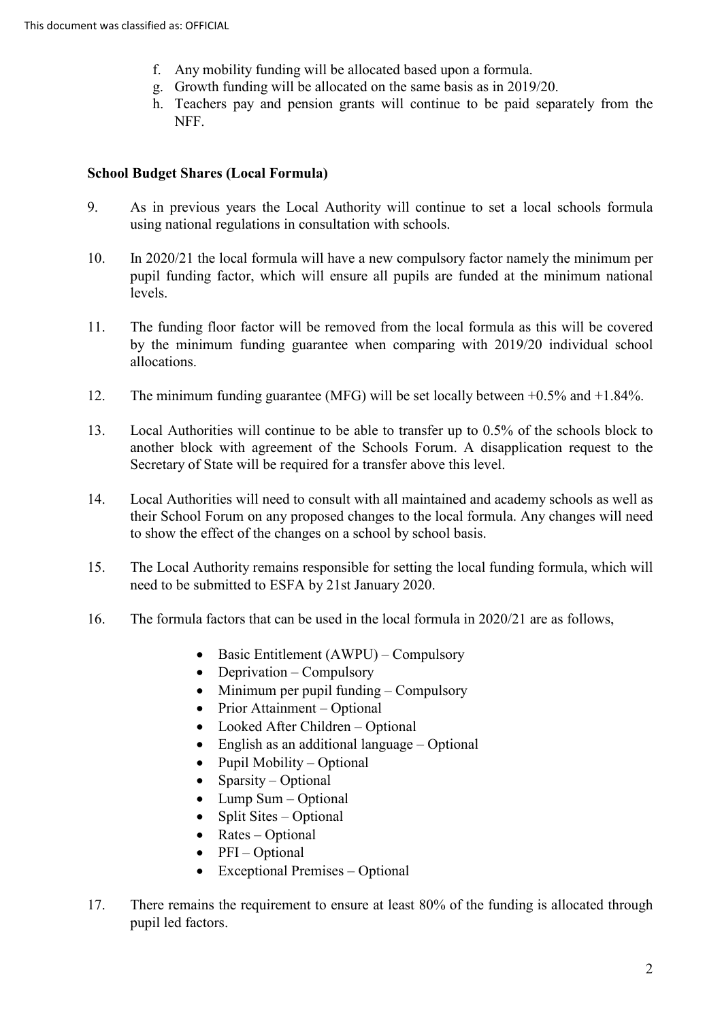- f. Any mobility funding will be allocated based upon a formula.
- g. Growth funding will be allocated on the same basis as in 2019/20.
- h. Teachers pay and pension grants will continue to be paid separately from the NFF.

## **School Budget Shares (Local Formula)**

- 9. As in previous years the Local Authority will continue to set a local schools formula using national regulations in consultation with schools.
- 10. In 2020/21 the local formula will have a new compulsory factor namely the minimum per pupil funding factor, which will ensure all pupils are funded at the minimum national levels.
- 11. The funding floor factor will be removed from the local formula as this will be covered by the minimum funding guarantee when comparing with 2019/20 individual school allocations.
- 12. The minimum funding guarantee (MFG) will be set locally between +0.5% and +1.84%.
- 13. Local Authorities will continue to be able to transfer up to 0.5% of the schools block to another block with agreement of the Schools Forum. A disapplication request to the Secretary of State will be required for a transfer above this level.
- 14. Local Authorities will need to consult with all maintained and academy schools as well as their School Forum on any proposed changes to the local formula. Any changes will need to show the effect of the changes on a school by school basis.
- 15. The Local Authority remains responsible for setting the local funding formula, which will need to be submitted to ESFA by 21st January 2020.
- 16. The formula factors that can be used in the local formula in 2020/21 are as follows,
	- Basic Entitlement (AWPU) Compulsory
	- Deprivation Compulsory
	- Minimum per pupil funding Compulsory
	- Prior Attainment Optional
	- Looked After Children Optional
	- English as an additional language Optional
	- Pupil Mobility Optional
	- Sparsity Optional
	- Lump Sum Optional
	- Split Sites Optional
	- Rates Optional
	- PFI Optional
	- Exceptional Premises Optional
- 17. There remains the requirement to ensure at least 80% of the funding is allocated through pupil led factors.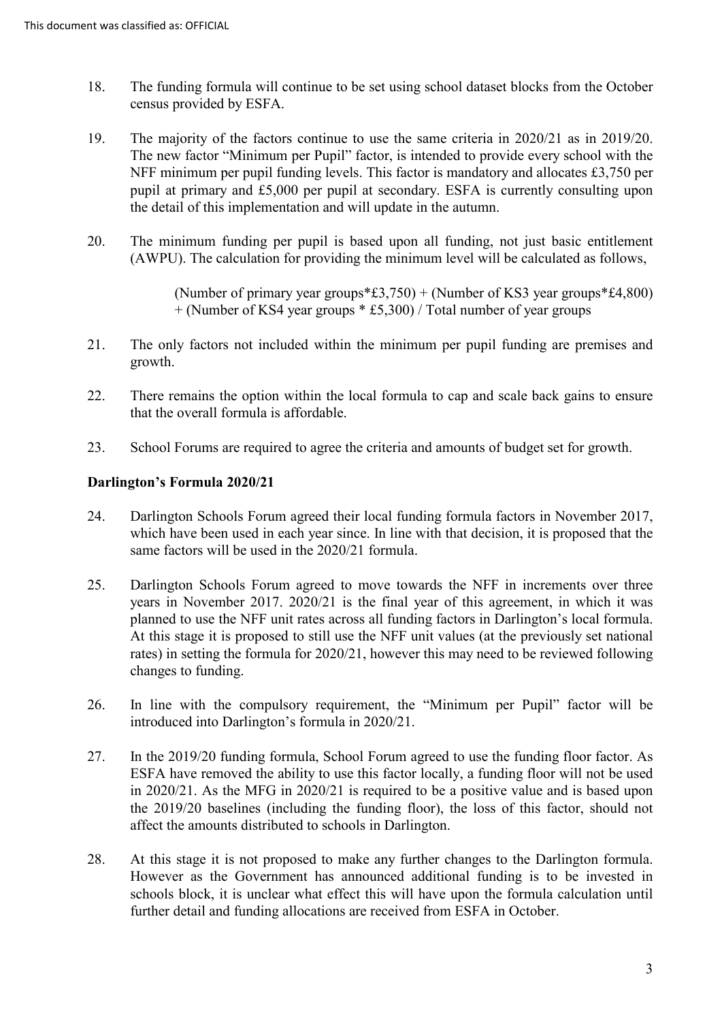- 18. The funding formula will continue to be set using school dataset blocks from the October census provided by ESFA.
- 19. The majority of the factors continue to use the same criteria in 2020/21 as in 2019/20. The new factor "Minimum per Pupil" factor, is intended to provide every school with the NFF minimum per pupil funding levels. This factor is mandatory and allocates £3,750 per pupil at primary and £5,000 per pupil at secondary. ESFA is currently consulting upon the detail of this implementation and will update in the autumn.
- 20. The minimum funding per pupil is based upon all funding, not just basic entitlement (AWPU). The calculation for providing the minimum level will be calculated as follows,

(Number of primary year groups $*f(3,750) + (Number of KS3 year groups *f(4,800))$ + (Number of KS4 year groups \* £5,300) / Total number of year groups

- 21. The only factors not included within the minimum per pupil funding are premises and growth.
- 22. There remains the option within the local formula to cap and scale back gains to ensure that the overall formula is affordable.
- 23. School Forums are required to agree the criteria and amounts of budget set for growth.

## **Darlington's Formula 2020/21**

- which have been used in each year since. In line with that decision, it is proposed that the 24. Darlington Schools Forum agreed their local funding formula factors in November 2017, same factors will be used in the 2020/21 formula.
- years in November 2017. 2020/21 is the final year of this agreement, in which it was planned to use the NFF unit rates across all funding factors in Darlington's local formula. At this stage it is proposed to still use the NFF unit values (at the previously set national changes to funding. 25. Darlington Schools Forum agreed to move towards the NFF in increments over three rates) in setting the formula for 2020/21, however this may need to be reviewed following
- changes to funding. 26. In line with the compulsory requirement, the "Minimum per Pupil" factor will be introduced into Darlington's formula in 2020/21.
- 27. In the 2019/20 funding formula, School Forum agreed to use the funding floor factor. As ESFA have removed the ability to use this factor locally, a funding floor will not be used in 2020/21. As the MFG in 2020/21 is required to be a positive value and is based upon the 2019/20 baselines (including the funding floor), the loss of this factor, should not affect the amounts distributed to schools in Darlington.
- 28. At this stage it is not proposed to make any further changes to the Darlington formula. However as the Government has announced additional funding is to be invested in schools block, it is unclear what effect this will have upon the formula calculation until further detail and funding allocations are received from ESFA in October.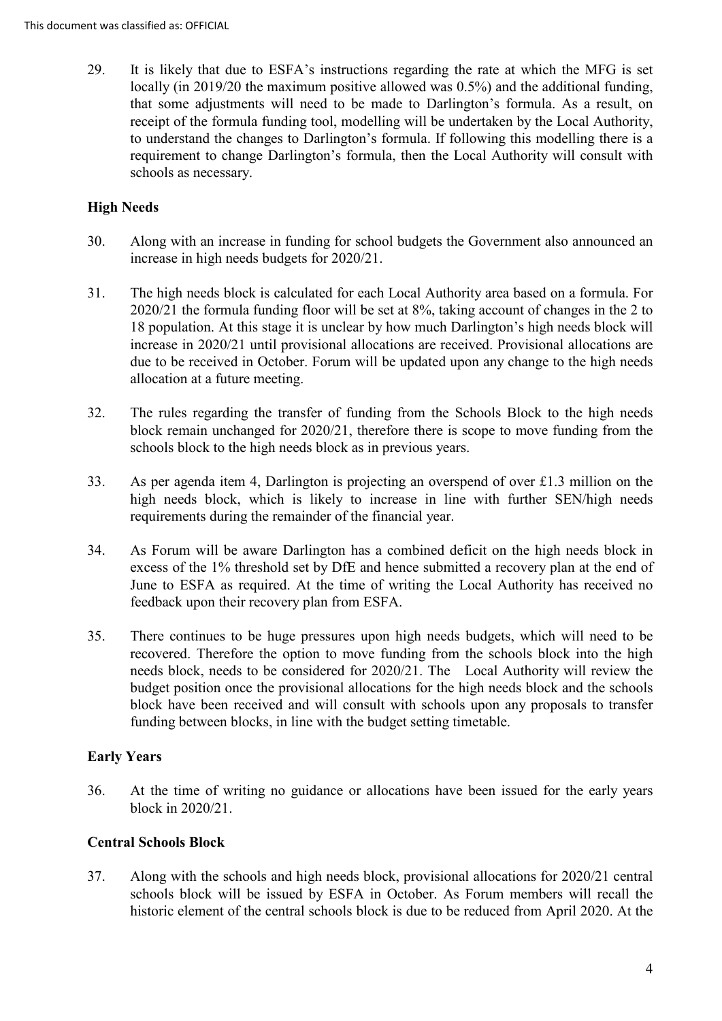receipt of the formula funding tool, modelling will be undertaken by the Local Authority, to understand the changes to Darlington's formula. If following this modelling there is a requirement to change Darlington's formula, then the Local Authority will consult with 29. It is likely that due to ESFA's instructions regarding the rate at which the MFG is set locally (in 2019/20 the maximum positive allowed was 0.5%) and the additional funding, that some adjustments will need to be made to Darlington's formula. As a result, on schools as necessary.

# **High Needs**

- 30. Along with an increase in funding for school budgets the Government also announced an increase in high needs budgets for 2020/21.
- 18 population. At this stage it is unclear by how much Darlington's high needs block will 31. The high needs block is calculated for each Local Authority area based on a formula. For 2020/21 the formula funding floor will be set at 8%, taking account of changes in the 2 to increase in 2020/21 until provisional allocations are received. Provisional allocations are due to be received in October. Forum will be updated upon any change to the high needs allocation at a future meeting.
- 32. The rules regarding the transfer of funding from the Schools Block to the high needs block remain unchanged for 2020/21, therefore there is scope to move funding from the schools block to the high needs block as in previous years.
- 33. As per agenda item 4, Darlington is projecting an overspend of over £1.3 million on the high needs block, which is likely to increase in line with further SEN/high needs requirements during the remainder of the financial year.
- 34. As Forum will be aware Darlington has a combined deficit on the high needs block in excess of the 1% threshold set by DfE and hence submitted a recovery plan at the end of feedback upon their recovery plan from ESFA. June to ESFA as required. At the time of writing the Local Authority has received no
- recovered. Therefore the option to move funding from the schools block into the high needs block, needs to be considered for 2020/21. The Local Authority will review the 35. There continues to be huge pressures upon high needs budgets, which will need to be budget position once the provisional allocations for the high needs block and the schools block have been received and will consult with schools upon any proposals to transfer funding between blocks, in line with the budget setting timetable.

## **Early Years**

36. At the time of writing no guidance or allocations have been issued for the early years block in 2020/21.

## **Central Schools Block**

 37. Along with the schools and high needs block, provisional allocations for 2020/21 central schools block will be issued by ESFA in October. As Forum members will recall the historic element of the central schools block is due to be reduced from April 2020. At the